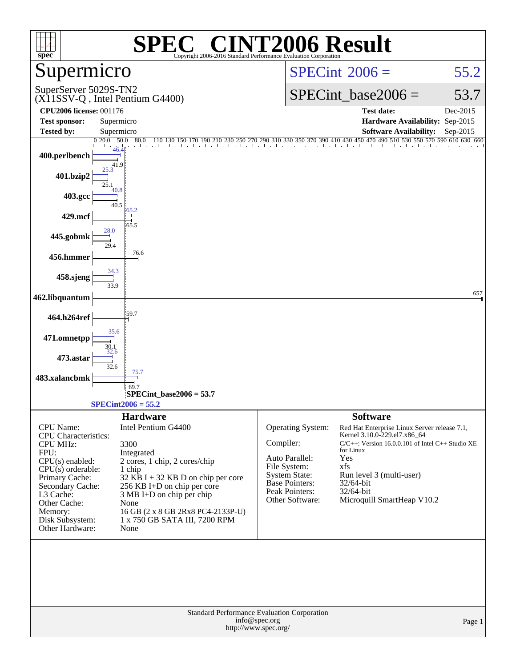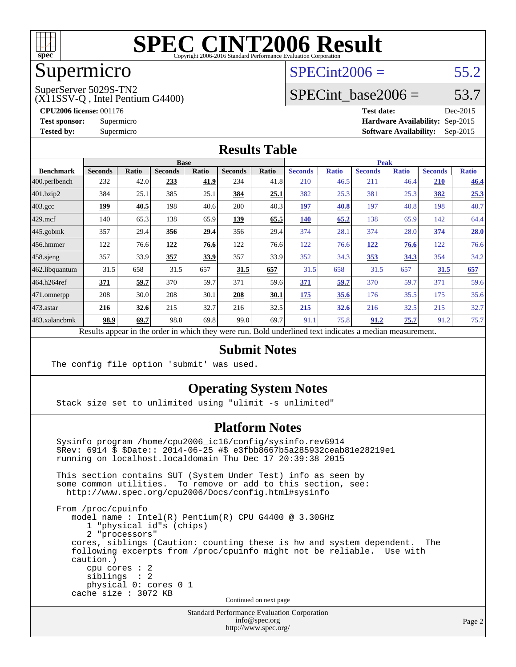

### Supermicro

#### $SPECint2006 = 55.2$  $SPECint2006 = 55.2$

SuperServer 5029S-TN2

(X11SSV-Q , Intel Pentium G4400)

SPECint base2006 =  $53.7$ 

**[CPU2006 license:](http://www.spec.org/auto/cpu2006/Docs/result-fields.html#CPU2006license)** 001176 **[Test date:](http://www.spec.org/auto/cpu2006/Docs/result-fields.html#Testdate)** Dec-2015 **[Test sponsor:](http://www.spec.org/auto/cpu2006/Docs/result-fields.html#Testsponsor)** Supermicro **[Hardware Availability:](http://www.spec.org/auto/cpu2006/Docs/result-fields.html#HardwareAvailability)** Sep-2015 **[Tested by:](http://www.spec.org/auto/cpu2006/Docs/result-fields.html#Testedby)** Supermicro **Supermicro [Software Availability:](http://www.spec.org/auto/cpu2006/Docs/result-fields.html#SoftwareAvailability)** Sep-2015

#### **[Results Table](http://www.spec.org/auto/cpu2006/Docs/result-fields.html#ResultsTable)**

|                    | <b>Base</b>    |              |                                                                                                          |              |                |              | <b>Peak</b>    |              |                |              |                |              |
|--------------------|----------------|--------------|----------------------------------------------------------------------------------------------------------|--------------|----------------|--------------|----------------|--------------|----------------|--------------|----------------|--------------|
| <b>Benchmark</b>   | <b>Seconds</b> | <b>Ratio</b> | <b>Seconds</b>                                                                                           | <b>Ratio</b> | <b>Seconds</b> | <b>Ratio</b> | <b>Seconds</b> | <b>Ratio</b> | <b>Seconds</b> | <b>Ratio</b> | <b>Seconds</b> | <b>Ratio</b> |
| $ 400$ .perlbench  | 232            | 42.0         | 233                                                                                                      | 41.9         | 234            | 41.8         | 210            | 46.5         | 211            | 46.4         | <b>210</b>     | 46.4         |
| 401.bzip2          | 384            | 25.1         | 385                                                                                                      | 25.1         | 384            | 25.1         | 382            | 25.3         | 381            | 25.3         | 382            | 25.3         |
| $403.\mathrm{gcc}$ | 199            | 40.5         | 198                                                                                                      | 40.6         | 200            | 40.3         | 197            | 40.8         | 197            | 40.8         | 198            | 40.7         |
| $429$ mcf          | 140            | 65.3         | 138                                                                                                      | 65.9         | 139            | 65.5         | 140            | 65.2         | 138            | 65.9         | 142            | 64.4         |
| $445$ .gobmk       | 357            | 29.4         | 356                                                                                                      | 29.4         | 356            | 29.4         | 374            | 28.1         | 374            | 28.0         | 374            | 28.0         |
| 456.hmmer          | 122            | 76.6         | 122                                                                                                      | 76.6         | 122            | 76.6         | 122            | 76.6         | 122            | 76.6         | 122            | 76.6         |
| $458$ .sjeng       | 357            | 33.9         | 357                                                                                                      | 33.9         | 357            | 33.9         | 352            | 34.3         | <u>353</u>     | 34.3         | 354            | 34.2         |
| 462.libquantum     | 31.5           | 658          | 31.5                                                                                                     | 657          | 31.5           | 657          | 31.5           | 658          | 31.5           | 657          | 31.5           | 657          |
| 464.h264ref        | 371            | 59.7         | 370                                                                                                      | 59.7         | 371            | 59.6         | 371            | 59.7         | 370            | 59.7         | 371            | 59.6         |
| $ 471$ .omnetpp    | 208            | 30.0         | 208                                                                                                      | 30.1         | 208            | 30.1         | 175            | 35.6         | 176            | 35.5         | 175            | 35.6         |
| $473$ . astar      | 216            | 32.6         | 215                                                                                                      | 32.7         | 216            | 32.5         | 215            | 32.6         | 216            | 32.5         | 215            | 32.7         |
| 483.xalancbmk      | 98.9           | 69.7         | 98.8                                                                                                     | 69.8         | 99.0           | 69.7         | 91.1           | 75.8         | 91.2           | 75.7         | 91.2           | 75.7         |
|                    |                |              | Results appear in the order in which they were run. Bold underlined text indicates a median measurement. |              |                |              |                |              |                |              |                |              |

#### **[Submit Notes](http://www.spec.org/auto/cpu2006/Docs/result-fields.html#SubmitNotes)**

The config file option 'submit' was used.

#### **[Operating System Notes](http://www.spec.org/auto/cpu2006/Docs/result-fields.html#OperatingSystemNotes)**

Stack size set to unlimited using "ulimit -s unlimited"

#### **[Platform Notes](http://www.spec.org/auto/cpu2006/Docs/result-fields.html#PlatformNotes)**

 Sysinfo program /home/cpu2006\_ic16/config/sysinfo.rev6914 \$Rev: 6914 \$ \$Date:: 2014-06-25 #\$ e3fbb8667b5a285932ceab81e28219e1 running on localhost.localdomain Thu Dec 17 20:39:38 2015 This section contains SUT (System Under Test) info as seen by some common utilities. To remove or add to this section, see: <http://www.spec.org/cpu2006/Docs/config.html#sysinfo> From /proc/cpuinfo model name : Intel(R) Pentium(R) CPU G4400 @ 3.30GHz 1 "physical id"s (chips) 2 "processors" cores, siblings (Caution: counting these is hw and system dependent. The following excerpts from /proc/cpuinfo might not be reliable. Use with

 cpu cores : 2 siblings : 2 physical 0: cores 0 1 cache size : 3072 KB

caution.)

Continued on next page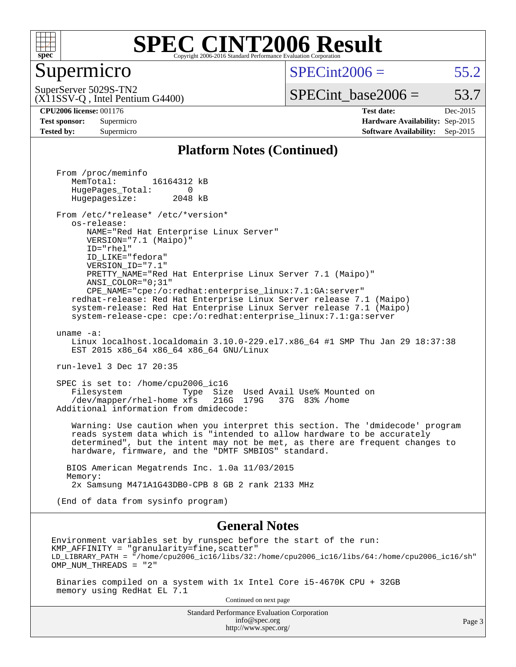

#### Supermicro

 $SPECint2006 = 55.2$  $SPECint2006 = 55.2$ 

(X11SSV-Q , Intel Pentium G4400) SuperServer 5029S-TN2

 $SPECTnt\_base2006 = 53.7$ 

**[CPU2006 license:](http://www.spec.org/auto/cpu2006/Docs/result-fields.html#CPU2006license)** 001176 **[Test date:](http://www.spec.org/auto/cpu2006/Docs/result-fields.html#Testdate)** Dec-2015 **[Test sponsor:](http://www.spec.org/auto/cpu2006/Docs/result-fields.html#Testsponsor)** Supermicro **[Hardware Availability:](http://www.spec.org/auto/cpu2006/Docs/result-fields.html#HardwareAvailability)** Sep-2015 **[Tested by:](http://www.spec.org/auto/cpu2006/Docs/result-fields.html#Testedby)** Supermicro **Supermicro [Software Availability:](http://www.spec.org/auto/cpu2006/Docs/result-fields.html#SoftwareAvailability)** Sep-2015

#### **[Platform Notes \(Continued\)](http://www.spec.org/auto/cpu2006/Docs/result-fields.html#PlatformNotes)**

Standard Performance Evaluation Corporation From /proc/meminfo MemTotal: 16164312 kB HugePages\_Total: 0<br>Hugepagesize: 2048 kB Hugepagesize: From /etc/\*release\* /etc/\*version\* os-release: NAME="Red Hat Enterprise Linux Server" VERSION="7.1 (Maipo)" ID="rhel" ID\_LIKE="fedora" VERSION\_ID="7.1" PRETTY\_NAME="Red Hat Enterprise Linux Server 7.1 (Maipo)" ANSI\_COLOR="0;31" CPE\_NAME="cpe:/o:redhat:enterprise\_linux:7.1:GA:server" redhat-release: Red Hat Enterprise Linux Server release 7.1 (Maipo) system-release: Red Hat Enterprise Linux Server release 7.1 (Maipo) system-release-cpe: cpe:/o:redhat:enterprise\_linux:7.1:ga:server uname -a: Linux localhost.localdomain 3.10.0-229.el7.x86\_64 #1 SMP Thu Jan 29 18:37:38 EST 2015 x86\_64 x86\_64 x86\_64 GNU/Linux run-level 3 Dec 17 20:35 SPEC is set to: /home/cpu2006\_ic16 Filesystem Type Size Used Avail Use% Mounted on /dev/mapper/rhel-home xfs 216G 179G 37G 83% /home Additional information from dmidecode: Warning: Use caution when you interpret this section. The 'dmidecode' program reads system data which is "intended to allow hardware to be accurately determined", but the intent may not be met, as there are frequent changes to hardware, firmware, and the "DMTF SMBIOS" standard. BIOS American Megatrends Inc. 1.0a 11/03/2015 Memory: 2x Samsung M471A1G43DB0-CPB 8 GB 2 rank 2133 MHz (End of data from sysinfo program) **[General Notes](http://www.spec.org/auto/cpu2006/Docs/result-fields.html#GeneralNotes)** Environment variables set by runspec before the start of the run:  $KMP$  AFFINITY = "granularity=fine, scatter" LD\_LIBRARY\_PATH = "/home/cpu2006\_ic16/libs/32:/home/cpu2006\_ic16/libs/64:/home/cpu2006\_ic16/sh" OMP\_NUM\_THREADS = "2" Binaries compiled on a system with 1x Intel Core i5-4670K CPU + 32GB memory using RedHat EL 7.1 Continued on next page

[info@spec.org](mailto:info@spec.org) <http://www.spec.org/>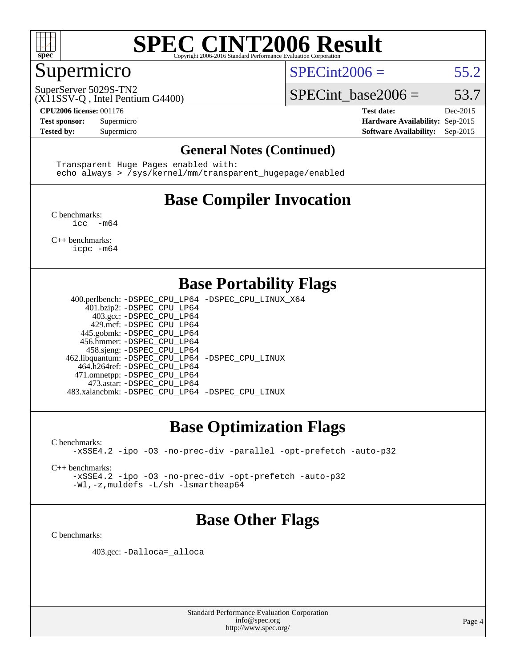

#### Supermicro

 $SPECint2006 = 55.2$  $SPECint2006 = 55.2$ 

(X11SSV-Q , Intel Pentium G4400) SuperServer 5029S-TN2

SPECint base2006 =  $53.7$ **[CPU2006 license:](http://www.spec.org/auto/cpu2006/Docs/result-fields.html#CPU2006license)** 001176 **[Test date:](http://www.spec.org/auto/cpu2006/Docs/result-fields.html#Testdate)** Dec-2015

**[Test sponsor:](http://www.spec.org/auto/cpu2006/Docs/result-fields.html#Testsponsor)** Supermicro **[Hardware Availability:](http://www.spec.org/auto/cpu2006/Docs/result-fields.html#HardwareAvailability)** Sep-2015 **[Tested by:](http://www.spec.org/auto/cpu2006/Docs/result-fields.html#Testedby)** Supermicro **Supermicro [Software Availability:](http://www.spec.org/auto/cpu2006/Docs/result-fields.html#SoftwareAvailability)** Sep-2015

#### **[General Notes \(Continued\)](http://www.spec.org/auto/cpu2006/Docs/result-fields.html#GeneralNotes)**

 Transparent Huge Pages enabled with: echo always > /sys/kernel/mm/transparent\_hugepage/enabled

## **[Base Compiler Invocation](http://www.spec.org/auto/cpu2006/Docs/result-fields.html#BaseCompilerInvocation)**

[C benchmarks](http://www.spec.org/auto/cpu2006/Docs/result-fields.html#Cbenchmarks): [icc -m64](http://www.spec.org/cpu2006/results/res2016q1/cpu2006-20160125-38787.flags.html#user_CCbase_intel_icc_64bit_f346026e86af2a669e726fe758c88044)

[C++ benchmarks:](http://www.spec.org/auto/cpu2006/Docs/result-fields.html#CXXbenchmarks) [icpc -m64](http://www.spec.org/cpu2006/results/res2016q1/cpu2006-20160125-38787.flags.html#user_CXXbase_intel_icpc_64bit_fc66a5337ce925472a5c54ad6a0de310)

#### **[Base Portability Flags](http://www.spec.org/auto/cpu2006/Docs/result-fields.html#BasePortabilityFlags)**

 400.perlbench: [-DSPEC\\_CPU\\_LP64](http://www.spec.org/cpu2006/results/res2016q1/cpu2006-20160125-38787.flags.html#b400.perlbench_basePORTABILITY_DSPEC_CPU_LP64) [-DSPEC\\_CPU\\_LINUX\\_X64](http://www.spec.org/cpu2006/results/res2016q1/cpu2006-20160125-38787.flags.html#b400.perlbench_baseCPORTABILITY_DSPEC_CPU_LINUX_X64) 401.bzip2: [-DSPEC\\_CPU\\_LP64](http://www.spec.org/cpu2006/results/res2016q1/cpu2006-20160125-38787.flags.html#suite_basePORTABILITY401_bzip2_DSPEC_CPU_LP64) 403.gcc: [-DSPEC\\_CPU\\_LP64](http://www.spec.org/cpu2006/results/res2016q1/cpu2006-20160125-38787.flags.html#suite_basePORTABILITY403_gcc_DSPEC_CPU_LP64) 429.mcf: [-DSPEC\\_CPU\\_LP64](http://www.spec.org/cpu2006/results/res2016q1/cpu2006-20160125-38787.flags.html#suite_basePORTABILITY429_mcf_DSPEC_CPU_LP64) 445.gobmk: [-DSPEC\\_CPU\\_LP64](http://www.spec.org/cpu2006/results/res2016q1/cpu2006-20160125-38787.flags.html#suite_basePORTABILITY445_gobmk_DSPEC_CPU_LP64) 456.hmmer: [-DSPEC\\_CPU\\_LP64](http://www.spec.org/cpu2006/results/res2016q1/cpu2006-20160125-38787.flags.html#suite_basePORTABILITY456_hmmer_DSPEC_CPU_LP64) 458.sjeng: [-DSPEC\\_CPU\\_LP64](http://www.spec.org/cpu2006/results/res2016q1/cpu2006-20160125-38787.flags.html#suite_basePORTABILITY458_sjeng_DSPEC_CPU_LP64) 462.libquantum: [-DSPEC\\_CPU\\_LP64](http://www.spec.org/cpu2006/results/res2016q1/cpu2006-20160125-38787.flags.html#suite_basePORTABILITY462_libquantum_DSPEC_CPU_LP64) [-DSPEC\\_CPU\\_LINUX](http://www.spec.org/cpu2006/results/res2016q1/cpu2006-20160125-38787.flags.html#b462.libquantum_baseCPORTABILITY_DSPEC_CPU_LINUX) 464.h264ref: [-DSPEC\\_CPU\\_LP64](http://www.spec.org/cpu2006/results/res2016q1/cpu2006-20160125-38787.flags.html#suite_basePORTABILITY464_h264ref_DSPEC_CPU_LP64) 471.omnetpp: [-DSPEC\\_CPU\\_LP64](http://www.spec.org/cpu2006/results/res2016q1/cpu2006-20160125-38787.flags.html#suite_basePORTABILITY471_omnetpp_DSPEC_CPU_LP64) 473.astar: [-DSPEC\\_CPU\\_LP64](http://www.spec.org/cpu2006/results/res2016q1/cpu2006-20160125-38787.flags.html#suite_basePORTABILITY473_astar_DSPEC_CPU_LP64) 483.xalancbmk: [-DSPEC\\_CPU\\_LP64](http://www.spec.org/cpu2006/results/res2016q1/cpu2006-20160125-38787.flags.html#suite_basePORTABILITY483_xalancbmk_DSPEC_CPU_LP64) [-DSPEC\\_CPU\\_LINUX](http://www.spec.org/cpu2006/results/res2016q1/cpu2006-20160125-38787.flags.html#b483.xalancbmk_baseCXXPORTABILITY_DSPEC_CPU_LINUX)

#### **[Base Optimization Flags](http://www.spec.org/auto/cpu2006/Docs/result-fields.html#BaseOptimizationFlags)**

[C benchmarks](http://www.spec.org/auto/cpu2006/Docs/result-fields.html#Cbenchmarks): [-xSSE4.2](http://www.spec.org/cpu2006/results/res2016q1/cpu2006-20160125-38787.flags.html#user_CCbase_f-xSSE42_f91528193cf0b216347adb8b939d4107) [-ipo](http://www.spec.org/cpu2006/results/res2016q1/cpu2006-20160125-38787.flags.html#user_CCbase_f-ipo) [-O3](http://www.spec.org/cpu2006/results/res2016q1/cpu2006-20160125-38787.flags.html#user_CCbase_f-O3) [-no-prec-div](http://www.spec.org/cpu2006/results/res2016q1/cpu2006-20160125-38787.flags.html#user_CCbase_f-no-prec-div) [-parallel](http://www.spec.org/cpu2006/results/res2016q1/cpu2006-20160125-38787.flags.html#user_CCbase_f-parallel) [-opt-prefetch](http://www.spec.org/cpu2006/results/res2016q1/cpu2006-20160125-38787.flags.html#user_CCbase_f-opt-prefetch) [-auto-p32](http://www.spec.org/cpu2006/results/res2016q1/cpu2006-20160125-38787.flags.html#user_CCbase_f-auto-p32)

[C++ benchmarks:](http://www.spec.org/auto/cpu2006/Docs/result-fields.html#CXXbenchmarks)

[-xSSE4.2](http://www.spec.org/cpu2006/results/res2016q1/cpu2006-20160125-38787.flags.html#user_CXXbase_f-xSSE42_f91528193cf0b216347adb8b939d4107) [-ipo](http://www.spec.org/cpu2006/results/res2016q1/cpu2006-20160125-38787.flags.html#user_CXXbase_f-ipo) [-O3](http://www.spec.org/cpu2006/results/res2016q1/cpu2006-20160125-38787.flags.html#user_CXXbase_f-O3) [-no-prec-div](http://www.spec.org/cpu2006/results/res2016q1/cpu2006-20160125-38787.flags.html#user_CXXbase_f-no-prec-div) [-opt-prefetch](http://www.spec.org/cpu2006/results/res2016q1/cpu2006-20160125-38787.flags.html#user_CXXbase_f-opt-prefetch) [-auto-p32](http://www.spec.org/cpu2006/results/res2016q1/cpu2006-20160125-38787.flags.html#user_CXXbase_f-auto-p32) [-Wl,-z,muldefs](http://www.spec.org/cpu2006/results/res2016q1/cpu2006-20160125-38787.flags.html#user_CXXbase_link_force_multiple1_74079c344b956b9658436fd1b6dd3a8a) [-L/sh -lsmartheap64](http://www.spec.org/cpu2006/results/res2016q1/cpu2006-20160125-38787.flags.html#user_CXXbase_SmartHeap64_ed4ef857ce90951921efb0d91eb88472)

#### **[Base Other Flags](http://www.spec.org/auto/cpu2006/Docs/result-fields.html#BaseOtherFlags)**

[C benchmarks](http://www.spec.org/auto/cpu2006/Docs/result-fields.html#Cbenchmarks):

403.gcc: [-Dalloca=\\_alloca](http://www.spec.org/cpu2006/results/res2016q1/cpu2006-20160125-38787.flags.html#b403.gcc_baseEXTRA_CFLAGS_Dalloca_be3056838c12de2578596ca5467af7f3)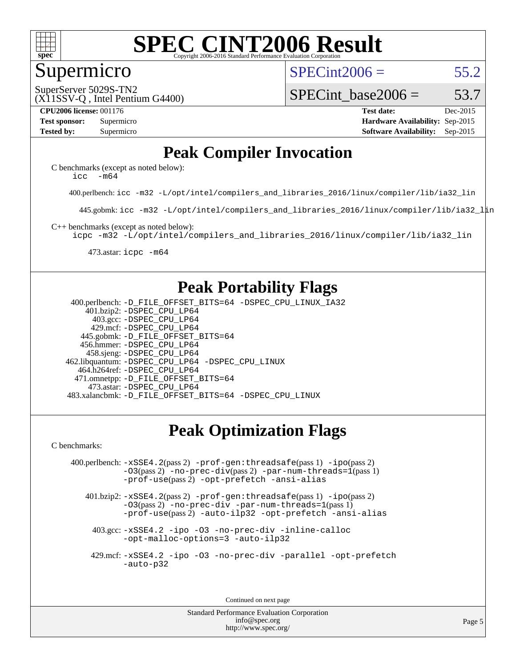

#### Supermicro

 $SPECint2006 = 55.2$  $SPECint2006 = 55.2$ 

SuperServer 5029S-TN2

#### SPECint base2006 =  $53.7$

(X11SSV-Q , Intel Pentium G4400)

**[CPU2006 license:](http://www.spec.org/auto/cpu2006/Docs/result-fields.html#CPU2006license)** 001176 **[Test date:](http://www.spec.org/auto/cpu2006/Docs/result-fields.html#Testdate)** Dec-2015 **[Test sponsor:](http://www.spec.org/auto/cpu2006/Docs/result-fields.html#Testsponsor)** Supermicro **[Hardware Availability:](http://www.spec.org/auto/cpu2006/Docs/result-fields.html#HardwareAvailability)** Sep-2015 **[Tested by:](http://www.spec.org/auto/cpu2006/Docs/result-fields.html#Testedby)** Supermicro **Supermicro [Software Availability:](http://www.spec.org/auto/cpu2006/Docs/result-fields.html#SoftwareAvailability)** Sep-2015

### **[Peak Compiler Invocation](http://www.spec.org/auto/cpu2006/Docs/result-fields.html#PeakCompilerInvocation)**

[C benchmarks \(except as noted below\)](http://www.spec.org/auto/cpu2006/Docs/result-fields.html#Cbenchmarksexceptasnotedbelow): icc  $-m64$ 

400.perlbench: [icc -m32 -L/opt/intel/compilers\\_and\\_libraries\\_2016/linux/compiler/lib/ia32\\_lin](http://www.spec.org/cpu2006/results/res2016q1/cpu2006-20160125-38787.flags.html#user_peakCCLD400_perlbench_intel_icc_e10256ba5924b668798078a321b0cb3f)

445.gobmk: [icc -m32 -L/opt/intel/compilers\\_and\\_libraries\\_2016/linux/compiler/lib/ia32\\_lin](http://www.spec.org/cpu2006/results/res2016q1/cpu2006-20160125-38787.flags.html#user_peakCCLD445_gobmk_intel_icc_e10256ba5924b668798078a321b0cb3f)

[C++ benchmarks \(except as noted below\):](http://www.spec.org/auto/cpu2006/Docs/result-fields.html#CXXbenchmarksexceptasnotedbelow)

[icpc -m32 -L/opt/intel/compilers\\_and\\_libraries\\_2016/linux/compiler/lib/ia32\\_lin](http://www.spec.org/cpu2006/results/res2016q1/cpu2006-20160125-38787.flags.html#user_CXXpeak_intel_icpc_b4f50a394bdb4597aa5879c16bc3f5c5)

473.astar: [icpc -m64](http://www.spec.org/cpu2006/results/res2016q1/cpu2006-20160125-38787.flags.html#user_peakCXXLD473_astar_intel_icpc_64bit_fc66a5337ce925472a5c54ad6a0de310)

### **[Peak Portability Flags](http://www.spec.org/auto/cpu2006/Docs/result-fields.html#PeakPortabilityFlags)**

 400.perlbench: [-D\\_FILE\\_OFFSET\\_BITS=64](http://www.spec.org/cpu2006/results/res2016q1/cpu2006-20160125-38787.flags.html#user_peakPORTABILITY400_perlbench_file_offset_bits_64_438cf9856305ebd76870a2c6dc2689ab) [-DSPEC\\_CPU\\_LINUX\\_IA32](http://www.spec.org/cpu2006/results/res2016q1/cpu2006-20160125-38787.flags.html#b400.perlbench_peakCPORTABILITY_DSPEC_CPU_LINUX_IA32) 401.bzip2: [-DSPEC\\_CPU\\_LP64](http://www.spec.org/cpu2006/results/res2016q1/cpu2006-20160125-38787.flags.html#suite_peakPORTABILITY401_bzip2_DSPEC_CPU_LP64) 403.gcc: [-DSPEC\\_CPU\\_LP64](http://www.spec.org/cpu2006/results/res2016q1/cpu2006-20160125-38787.flags.html#suite_peakPORTABILITY403_gcc_DSPEC_CPU_LP64) 429.mcf: [-DSPEC\\_CPU\\_LP64](http://www.spec.org/cpu2006/results/res2016q1/cpu2006-20160125-38787.flags.html#suite_peakPORTABILITY429_mcf_DSPEC_CPU_LP64) 445.gobmk: [-D\\_FILE\\_OFFSET\\_BITS=64](http://www.spec.org/cpu2006/results/res2016q1/cpu2006-20160125-38787.flags.html#user_peakPORTABILITY445_gobmk_file_offset_bits_64_438cf9856305ebd76870a2c6dc2689ab) 456.hmmer: [-DSPEC\\_CPU\\_LP64](http://www.spec.org/cpu2006/results/res2016q1/cpu2006-20160125-38787.flags.html#suite_peakPORTABILITY456_hmmer_DSPEC_CPU_LP64) 458.sjeng: [-DSPEC\\_CPU\\_LP64](http://www.spec.org/cpu2006/results/res2016q1/cpu2006-20160125-38787.flags.html#suite_peakPORTABILITY458_sjeng_DSPEC_CPU_LP64) 462.libquantum: [-DSPEC\\_CPU\\_LP64](http://www.spec.org/cpu2006/results/res2016q1/cpu2006-20160125-38787.flags.html#suite_peakPORTABILITY462_libquantum_DSPEC_CPU_LP64) [-DSPEC\\_CPU\\_LINUX](http://www.spec.org/cpu2006/results/res2016q1/cpu2006-20160125-38787.flags.html#b462.libquantum_peakCPORTABILITY_DSPEC_CPU_LINUX) 464.h264ref: [-DSPEC\\_CPU\\_LP64](http://www.spec.org/cpu2006/results/res2016q1/cpu2006-20160125-38787.flags.html#suite_peakPORTABILITY464_h264ref_DSPEC_CPU_LP64) 471.omnetpp: [-D\\_FILE\\_OFFSET\\_BITS=64](http://www.spec.org/cpu2006/results/res2016q1/cpu2006-20160125-38787.flags.html#user_peakPORTABILITY471_omnetpp_file_offset_bits_64_438cf9856305ebd76870a2c6dc2689ab) 473.astar: [-DSPEC\\_CPU\\_LP64](http://www.spec.org/cpu2006/results/res2016q1/cpu2006-20160125-38787.flags.html#suite_peakPORTABILITY473_astar_DSPEC_CPU_LP64) 483.xalancbmk: [-D\\_FILE\\_OFFSET\\_BITS=64](http://www.spec.org/cpu2006/results/res2016q1/cpu2006-20160125-38787.flags.html#user_peakPORTABILITY483_xalancbmk_file_offset_bits_64_438cf9856305ebd76870a2c6dc2689ab) [-DSPEC\\_CPU\\_LINUX](http://www.spec.org/cpu2006/results/res2016q1/cpu2006-20160125-38787.flags.html#b483.xalancbmk_peakCXXPORTABILITY_DSPEC_CPU_LINUX)

### **[Peak Optimization Flags](http://www.spec.org/auto/cpu2006/Docs/result-fields.html#PeakOptimizationFlags)**

[C benchmarks](http://www.spec.org/auto/cpu2006/Docs/result-fields.html#Cbenchmarks):

 400.perlbench: [-xSSE4.2](http://www.spec.org/cpu2006/results/res2016q1/cpu2006-20160125-38787.flags.html#user_peakPASS2_CFLAGSPASS2_LDCFLAGS400_perlbench_f-xSSE42_f91528193cf0b216347adb8b939d4107)(pass 2) [-prof-gen:threadsafe](http://www.spec.org/cpu2006/results/res2016q1/cpu2006-20160125-38787.flags.html#user_peakPASS1_CFLAGSPASS1_LDCFLAGS400_perlbench_prof_gen_21a26eb79f378b550acd7bec9fe4467a)(pass 1) [-ipo](http://www.spec.org/cpu2006/results/res2016q1/cpu2006-20160125-38787.flags.html#user_peakPASS2_CFLAGSPASS2_LDCFLAGS400_perlbench_f-ipo)(pass 2) [-O3](http://www.spec.org/cpu2006/results/res2016q1/cpu2006-20160125-38787.flags.html#user_peakPASS2_CFLAGSPASS2_LDCFLAGS400_perlbench_f-O3)(pass 2) [-no-prec-div](http://www.spec.org/cpu2006/results/res2016q1/cpu2006-20160125-38787.flags.html#user_peakPASS2_CFLAGSPASS2_LDCFLAGS400_perlbench_f-no-prec-div)(pass 2) [-par-num-threads=1](http://www.spec.org/cpu2006/results/res2016q1/cpu2006-20160125-38787.flags.html#user_peakPASS1_CFLAGSPASS1_LDCFLAGS400_perlbench_par_num_threads_786a6ff141b4e9e90432e998842df6c2)(pass 1) [-prof-use](http://www.spec.org/cpu2006/results/res2016q1/cpu2006-20160125-38787.flags.html#user_peakPASS2_CFLAGSPASS2_LDCFLAGS400_perlbench_prof_use_bccf7792157ff70d64e32fe3e1250b55)(pass 2) [-opt-prefetch](http://www.spec.org/cpu2006/results/res2016q1/cpu2006-20160125-38787.flags.html#user_peakCOPTIMIZE400_perlbench_f-opt-prefetch) [-ansi-alias](http://www.spec.org/cpu2006/results/res2016q1/cpu2006-20160125-38787.flags.html#user_peakCOPTIMIZE400_perlbench_f-ansi-alias)

 401.bzip2: [-xSSE4.2](http://www.spec.org/cpu2006/results/res2016q1/cpu2006-20160125-38787.flags.html#user_peakPASS2_CFLAGSPASS2_LDCFLAGS401_bzip2_f-xSSE42_f91528193cf0b216347adb8b939d4107)(pass 2) [-prof-gen:threadsafe](http://www.spec.org/cpu2006/results/res2016q1/cpu2006-20160125-38787.flags.html#user_peakPASS1_CFLAGSPASS1_LDCFLAGS401_bzip2_prof_gen_21a26eb79f378b550acd7bec9fe4467a)(pass 1) [-ipo](http://www.spec.org/cpu2006/results/res2016q1/cpu2006-20160125-38787.flags.html#user_peakPASS2_CFLAGSPASS2_LDCFLAGS401_bzip2_f-ipo)(pass 2) [-O3](http://www.spec.org/cpu2006/results/res2016q1/cpu2006-20160125-38787.flags.html#user_peakPASS2_CFLAGSPASS2_LDCFLAGS401_bzip2_f-O3)(pass 2) [-no-prec-div](http://www.spec.org/cpu2006/results/res2016q1/cpu2006-20160125-38787.flags.html#user_peakCOPTIMIZEPASS2_CFLAGSPASS2_LDCFLAGS401_bzip2_f-no-prec-div) [-par-num-threads=1](http://www.spec.org/cpu2006/results/res2016q1/cpu2006-20160125-38787.flags.html#user_peakPASS1_CFLAGSPASS1_LDCFLAGS401_bzip2_par_num_threads_786a6ff141b4e9e90432e998842df6c2)(pass 1) [-prof-use](http://www.spec.org/cpu2006/results/res2016q1/cpu2006-20160125-38787.flags.html#user_peakPASS2_CFLAGSPASS2_LDCFLAGS401_bzip2_prof_use_bccf7792157ff70d64e32fe3e1250b55)(pass 2) [-auto-ilp32](http://www.spec.org/cpu2006/results/res2016q1/cpu2006-20160125-38787.flags.html#user_peakCOPTIMIZE401_bzip2_f-auto-ilp32) [-opt-prefetch](http://www.spec.org/cpu2006/results/res2016q1/cpu2006-20160125-38787.flags.html#user_peakCOPTIMIZE401_bzip2_f-opt-prefetch) [-ansi-alias](http://www.spec.org/cpu2006/results/res2016q1/cpu2006-20160125-38787.flags.html#user_peakCOPTIMIZE401_bzip2_f-ansi-alias)

 403.gcc: [-xSSE4.2](http://www.spec.org/cpu2006/results/res2016q1/cpu2006-20160125-38787.flags.html#user_peakCOPTIMIZE403_gcc_f-xSSE42_f91528193cf0b216347adb8b939d4107) [-ipo](http://www.spec.org/cpu2006/results/res2016q1/cpu2006-20160125-38787.flags.html#user_peakCOPTIMIZE403_gcc_f-ipo) [-O3](http://www.spec.org/cpu2006/results/res2016q1/cpu2006-20160125-38787.flags.html#user_peakCOPTIMIZE403_gcc_f-O3) [-no-prec-div](http://www.spec.org/cpu2006/results/res2016q1/cpu2006-20160125-38787.flags.html#user_peakCOPTIMIZE403_gcc_f-no-prec-div) [-inline-calloc](http://www.spec.org/cpu2006/results/res2016q1/cpu2006-20160125-38787.flags.html#user_peakCOPTIMIZE403_gcc_f-inline-calloc) [-opt-malloc-options=3](http://www.spec.org/cpu2006/results/res2016q1/cpu2006-20160125-38787.flags.html#user_peakCOPTIMIZE403_gcc_f-opt-malloc-options_13ab9b803cf986b4ee62f0a5998c2238) [-auto-ilp32](http://www.spec.org/cpu2006/results/res2016q1/cpu2006-20160125-38787.flags.html#user_peakCOPTIMIZE403_gcc_f-auto-ilp32)

 429.mcf: [-xSSE4.2](http://www.spec.org/cpu2006/results/res2016q1/cpu2006-20160125-38787.flags.html#user_peakCOPTIMIZE429_mcf_f-xSSE42_f91528193cf0b216347adb8b939d4107) [-ipo](http://www.spec.org/cpu2006/results/res2016q1/cpu2006-20160125-38787.flags.html#user_peakCOPTIMIZE429_mcf_f-ipo) [-O3](http://www.spec.org/cpu2006/results/res2016q1/cpu2006-20160125-38787.flags.html#user_peakCOPTIMIZE429_mcf_f-O3) [-no-prec-div](http://www.spec.org/cpu2006/results/res2016q1/cpu2006-20160125-38787.flags.html#user_peakCOPTIMIZE429_mcf_f-no-prec-div) [-parallel](http://www.spec.org/cpu2006/results/res2016q1/cpu2006-20160125-38787.flags.html#user_peakCOPTIMIZE429_mcf_f-parallel) [-opt-prefetch](http://www.spec.org/cpu2006/results/res2016q1/cpu2006-20160125-38787.flags.html#user_peakCOPTIMIZE429_mcf_f-opt-prefetch) [-auto-p32](http://www.spec.org/cpu2006/results/res2016q1/cpu2006-20160125-38787.flags.html#user_peakCOPTIMIZE429_mcf_f-auto-p32)

Continued on next page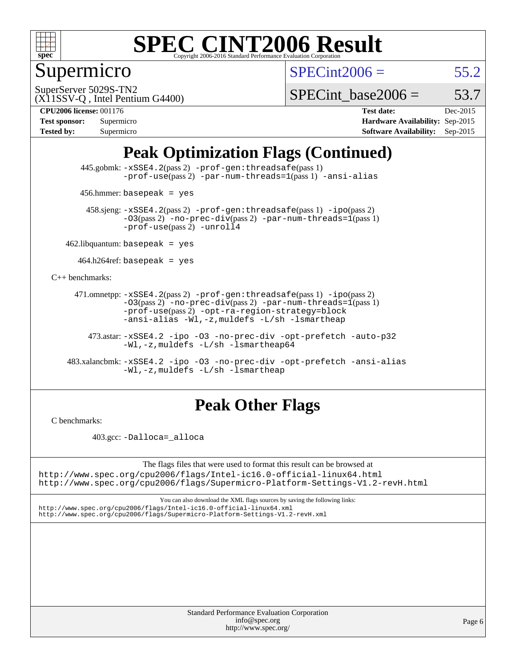

### Supermicro

 $SPECint2006 = 55.2$  $SPECint2006 = 55.2$ 

(X11SSV-Q , Intel Pentium G4400) SuperServer 5029S-TN2

SPECint base2006 =  $53.7$ 

**[CPU2006 license:](http://www.spec.org/auto/cpu2006/Docs/result-fields.html#CPU2006license)** 001176 **[Test date:](http://www.spec.org/auto/cpu2006/Docs/result-fields.html#Testdate)** Dec-2015

| <b>Test sponsor:</b> | Supermicro |
|----------------------|------------|
| <b>Tested by:</b>    | Supermicro |

**[Hardware Availability:](http://www.spec.org/auto/cpu2006/Docs/result-fields.html#HardwareAvailability)** Sep-2015 **[Software Availability:](http://www.spec.org/auto/cpu2006/Docs/result-fields.html#SoftwareAvailability)** Sep-2015

### **[Peak Optimization Flags \(Continued\)](http://www.spec.org/auto/cpu2006/Docs/result-fields.html#PeakOptimizationFlags)**

 445.gobmk: [-xSSE4.2](http://www.spec.org/cpu2006/results/res2016q1/cpu2006-20160125-38787.flags.html#user_peakPASS2_CFLAGSPASS2_LDCFLAGS445_gobmk_f-xSSE42_f91528193cf0b216347adb8b939d4107)(pass 2) [-prof-gen:threadsafe](http://www.spec.org/cpu2006/results/res2016q1/cpu2006-20160125-38787.flags.html#user_peakPASS1_CFLAGSPASS1_LDCFLAGS445_gobmk_prof_gen_21a26eb79f378b550acd7bec9fe4467a)(pass 1) [-prof-use](http://www.spec.org/cpu2006/results/res2016q1/cpu2006-20160125-38787.flags.html#user_peakPASS2_CFLAGSPASS2_LDCFLAGS445_gobmk_prof_use_bccf7792157ff70d64e32fe3e1250b55)(pass2) [-par-num-threads=1](http://www.spec.org/cpu2006/results/res2016q1/cpu2006-20160125-38787.flags.html#user_peakPASS1_CFLAGSPASS1_LDCFLAGS445_gobmk_par_num_threads_786a6ff141b4e9e90432e998842df6c2)(pass1) [-ansi-alias](http://www.spec.org/cpu2006/results/res2016q1/cpu2006-20160125-38787.flags.html#user_peakCOPTIMIZE445_gobmk_f-ansi-alias)

456.hmmer: basepeak = yes

 458.sjeng: [-xSSE4.2](http://www.spec.org/cpu2006/results/res2016q1/cpu2006-20160125-38787.flags.html#user_peakPASS2_CFLAGSPASS2_LDCFLAGS458_sjeng_f-xSSE42_f91528193cf0b216347adb8b939d4107)(pass 2) [-prof-gen:threadsafe](http://www.spec.org/cpu2006/results/res2016q1/cpu2006-20160125-38787.flags.html#user_peakPASS1_CFLAGSPASS1_LDCFLAGS458_sjeng_prof_gen_21a26eb79f378b550acd7bec9fe4467a)(pass 1) [-ipo](http://www.spec.org/cpu2006/results/res2016q1/cpu2006-20160125-38787.flags.html#user_peakPASS2_CFLAGSPASS2_LDCFLAGS458_sjeng_f-ipo)(pass 2)  $-03$ (pass 2)  $-$ no-prec-div(pass 2) [-par-num-threads=1](http://www.spec.org/cpu2006/results/res2016q1/cpu2006-20160125-38787.flags.html#user_peakPASS1_CFLAGSPASS1_LDCFLAGS458_sjeng_par_num_threads_786a6ff141b4e9e90432e998842df6c2)(pass 1) [-prof-use](http://www.spec.org/cpu2006/results/res2016q1/cpu2006-20160125-38787.flags.html#user_peakPASS2_CFLAGSPASS2_LDCFLAGS458_sjeng_prof_use_bccf7792157ff70d64e32fe3e1250b55)(pass 2) [-unroll4](http://www.spec.org/cpu2006/results/res2016q1/cpu2006-20160125-38787.flags.html#user_peakCOPTIMIZE458_sjeng_f-unroll_4e5e4ed65b7fd20bdcd365bec371b81f)

 $462$ .libquantum: basepeak = yes

 $464.h264$ ref: basepeak = yes

[C++ benchmarks:](http://www.spec.org/auto/cpu2006/Docs/result-fields.html#CXXbenchmarks)

 471.omnetpp: [-xSSE4.2](http://www.spec.org/cpu2006/results/res2016q1/cpu2006-20160125-38787.flags.html#user_peakPASS2_CXXFLAGSPASS2_LDCXXFLAGS471_omnetpp_f-xSSE42_f91528193cf0b216347adb8b939d4107)(pass 2) [-prof-gen:threadsafe](http://www.spec.org/cpu2006/results/res2016q1/cpu2006-20160125-38787.flags.html#user_peakPASS1_CXXFLAGSPASS1_LDCXXFLAGS471_omnetpp_prof_gen_21a26eb79f378b550acd7bec9fe4467a)(pass 1) [-ipo](http://www.spec.org/cpu2006/results/res2016q1/cpu2006-20160125-38787.flags.html#user_peakPASS2_CXXFLAGSPASS2_LDCXXFLAGS471_omnetpp_f-ipo)(pass 2)  $-03(pass 2)$  [-no-prec-div](http://www.spec.org/cpu2006/results/res2016q1/cpu2006-20160125-38787.flags.html#user_peakPASS2_CXXFLAGSPASS2_LDCXXFLAGS471_omnetpp_f-no-prec-div)(pass 2) [-par-num-threads=1](http://www.spec.org/cpu2006/results/res2016q1/cpu2006-20160125-38787.flags.html#user_peakPASS1_CXXFLAGSPASS1_LDCXXFLAGS471_omnetpp_par_num_threads_786a6ff141b4e9e90432e998842df6c2)(pass 1) [-prof-use](http://www.spec.org/cpu2006/results/res2016q1/cpu2006-20160125-38787.flags.html#user_peakPASS2_CXXFLAGSPASS2_LDCXXFLAGS471_omnetpp_prof_use_bccf7792157ff70d64e32fe3e1250b55)(pass 2) [-opt-ra-region-strategy=block](http://www.spec.org/cpu2006/results/res2016q1/cpu2006-20160125-38787.flags.html#user_peakCXXOPTIMIZE471_omnetpp_f-opt-ra-region-strategy_5382940c29ea30302d682fc74bfe0147)  [-ansi-alias](http://www.spec.org/cpu2006/results/res2016q1/cpu2006-20160125-38787.flags.html#user_peakCXXOPTIMIZE471_omnetpp_f-ansi-alias) [-Wl,-z,muldefs](http://www.spec.org/cpu2006/results/res2016q1/cpu2006-20160125-38787.flags.html#user_peakEXTRA_LDFLAGS471_omnetpp_link_force_multiple1_74079c344b956b9658436fd1b6dd3a8a) [-L/sh -lsmartheap](http://www.spec.org/cpu2006/results/res2016q1/cpu2006-20160125-38787.flags.html#user_peakEXTRA_LIBS471_omnetpp_SmartHeap_32f6c82aa1ed9c52345d30cf6e4a0499)

 473.astar: [-xSSE4.2](http://www.spec.org/cpu2006/results/res2016q1/cpu2006-20160125-38787.flags.html#user_peakCXXOPTIMIZE473_astar_f-xSSE42_f91528193cf0b216347adb8b939d4107) [-ipo](http://www.spec.org/cpu2006/results/res2016q1/cpu2006-20160125-38787.flags.html#user_peakCXXOPTIMIZE473_astar_f-ipo) [-O3](http://www.spec.org/cpu2006/results/res2016q1/cpu2006-20160125-38787.flags.html#user_peakCXXOPTIMIZE473_astar_f-O3) [-no-prec-div](http://www.spec.org/cpu2006/results/res2016q1/cpu2006-20160125-38787.flags.html#user_peakCXXOPTIMIZE473_astar_f-no-prec-div) [-opt-prefetch](http://www.spec.org/cpu2006/results/res2016q1/cpu2006-20160125-38787.flags.html#user_peakCXXOPTIMIZE473_astar_f-opt-prefetch) [-auto-p32](http://www.spec.org/cpu2006/results/res2016q1/cpu2006-20160125-38787.flags.html#user_peakCXXOPTIMIZE473_astar_f-auto-p32) [-Wl,-z,muldefs](http://www.spec.org/cpu2006/results/res2016q1/cpu2006-20160125-38787.flags.html#user_peakEXTRA_LDFLAGS473_astar_link_force_multiple1_74079c344b956b9658436fd1b6dd3a8a) [-L/sh -lsmartheap64](http://www.spec.org/cpu2006/results/res2016q1/cpu2006-20160125-38787.flags.html#user_peakEXTRA_LIBS473_astar_SmartHeap64_ed4ef857ce90951921efb0d91eb88472)

 483.xalancbmk: [-xSSE4.2](http://www.spec.org/cpu2006/results/res2016q1/cpu2006-20160125-38787.flags.html#user_peakCXXOPTIMIZE483_xalancbmk_f-xSSE42_f91528193cf0b216347adb8b939d4107) [-ipo](http://www.spec.org/cpu2006/results/res2016q1/cpu2006-20160125-38787.flags.html#user_peakCXXOPTIMIZE483_xalancbmk_f-ipo) [-O3](http://www.spec.org/cpu2006/results/res2016q1/cpu2006-20160125-38787.flags.html#user_peakCXXOPTIMIZE483_xalancbmk_f-O3) [-no-prec-div](http://www.spec.org/cpu2006/results/res2016q1/cpu2006-20160125-38787.flags.html#user_peakCXXOPTIMIZE483_xalancbmk_f-no-prec-div) [-opt-prefetch](http://www.spec.org/cpu2006/results/res2016q1/cpu2006-20160125-38787.flags.html#user_peakCXXOPTIMIZE483_xalancbmk_f-opt-prefetch) [-ansi-alias](http://www.spec.org/cpu2006/results/res2016q1/cpu2006-20160125-38787.flags.html#user_peakCXXOPTIMIZE483_xalancbmk_f-ansi-alias) [-Wl,-z,muldefs](http://www.spec.org/cpu2006/results/res2016q1/cpu2006-20160125-38787.flags.html#user_peakEXTRA_LDFLAGS483_xalancbmk_link_force_multiple1_74079c344b956b9658436fd1b6dd3a8a) [-L/sh -lsmartheap](http://www.spec.org/cpu2006/results/res2016q1/cpu2006-20160125-38787.flags.html#user_peakEXTRA_LIBS483_xalancbmk_SmartHeap_32f6c82aa1ed9c52345d30cf6e4a0499)

#### **[Peak Other Flags](http://www.spec.org/auto/cpu2006/Docs/result-fields.html#PeakOtherFlags)**

[C benchmarks](http://www.spec.org/auto/cpu2006/Docs/result-fields.html#Cbenchmarks):

403.gcc: [-Dalloca=\\_alloca](http://www.spec.org/cpu2006/results/res2016q1/cpu2006-20160125-38787.flags.html#b403.gcc_peakEXTRA_CFLAGS_Dalloca_be3056838c12de2578596ca5467af7f3)

The flags files that were used to format this result can be browsed at <http://www.spec.org/cpu2006/flags/Intel-ic16.0-official-linux64.html> <http://www.spec.org/cpu2006/flags/Supermicro-Platform-Settings-V1.2-revH.html>

You can also download the XML flags sources by saving the following links: <http://www.spec.org/cpu2006/flags/Intel-ic16.0-official-linux64.xml>

<http://www.spec.org/cpu2006/flags/Supermicro-Platform-Settings-V1.2-revH.xml>